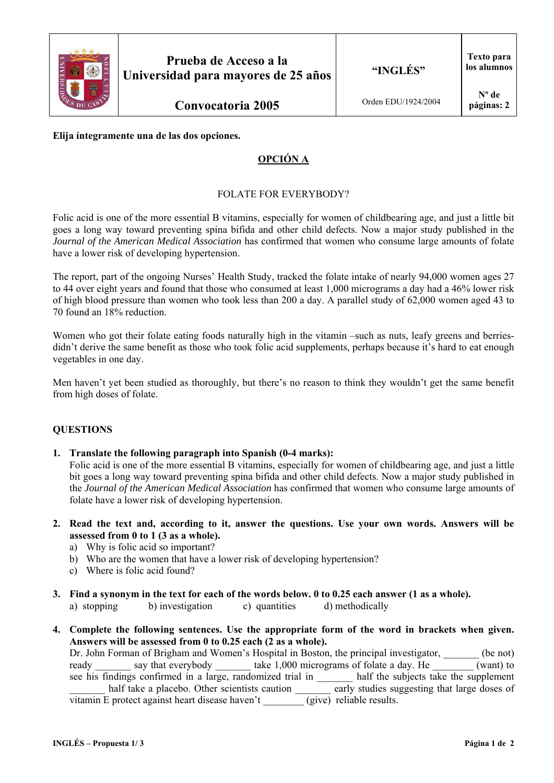

**Convocatoria 2005**

## **Elija íntegramente una de las dos opciones.**

# **OPCIÓN A**

## FOLATE FOR EVERYBODY?

Folic acid is one of the more essential B vitamins, especially for women of childbearing age, and just a little bit goes a long way toward preventing spina bifida and other child defects. Now a major study published in the *Journal of the American Medical Association* has confirmed that women who consume large amounts of folate have a lower risk of developing hypertension.

The report, part of the ongoing Nurses' Health Study, tracked the folate intake of nearly 94,000 women ages 27 to 44 over eight years and found that those who consumed at least 1,000 micrograms a day had a 46% lower risk of high blood pressure than women who took less than 200 a day. A parallel study of 62,000 women aged 43 to 70 found an 18% reduction.

Women who got their folate eating foods naturally high in the vitamin –such as nuts, leafy greens and berriesdidn't derive the same benefit as those who took folic acid supplements, perhaps because it's hard to eat enough vegetables in one day.

Men haven't yet been studied as thoroughly, but there's no reason to think they wouldn't get the same benefit from high doses of folate.

#### **QUESTIONS**

**1. Translate the following paragraph into Spanish (0-4 marks):** 

Folic acid is one of the more essential B vitamins, especially for women of childbearing age, and just a little bit goes a long way toward preventing spina bifida and other child defects. Now a major study published in the *Journal of the American Medical Association* has confirmed that women who consume large amounts of folate have a lower risk of developing hypertension.

- **2. Read the text and, according to it, answer the questions. Use your own words. Answers will be assessed from 0 to 1 (3 as a whole).** 
	- a) Why is folic acid so important?
	- b) Who are the women that have a lower risk of developing hypertension?
	- c) Where is folic acid found?
- **3. Find a synonym in the text for each of the words below. 0 to 0.25 each answer (1 as a whole).** 
	- a) stopping b) investigation c) quantities d) methodically
- **4. Complete the following sentences. Use the appropriate form of the word in brackets when given. Answers will be assessed from 0 to 0.25 each (2 as a whole).**

Dr. John Forman of Brigham and Women's Hospital in Boston, the principal investigator, (be not) ready say that everybody take 1,000 micrograms of folate a day. He (want) to see his findings confirmed in a large, randomized trial in half the subjects take the supplement half take a placebo. Other scientists caution early studies suggesting that large doses of vitamin E protect against heart disease haven't (give) reliable results.